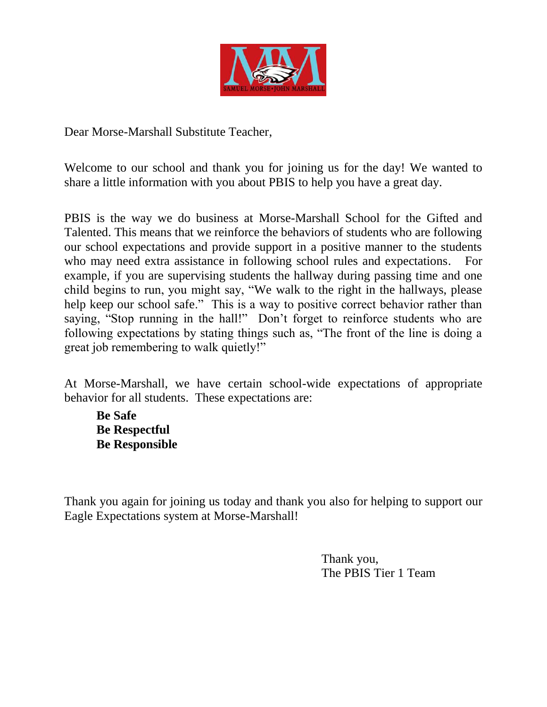

Dear Morse-Marshall Substitute Teacher,

Welcome to our school and thank you for joining us for the day! We wanted to share a little information with you about PBIS to help you have a great day.

PBIS is the way we do business at Morse-Marshall School for the Gifted and Talented. This means that we reinforce the behaviors of students who are following our school expectations and provide support in a positive manner to the students who may need extra assistance in following school rules and expectations. For example, if you are supervising students the hallway during passing time and one child begins to run, you might say, "We walk to the right in the hallways, please help keep our school safe." This is a way to positive correct behavior rather than saying, "Stop running in the hall!" Don't forget to reinforce students who are following expectations by stating things such as, "The front of the line is doing a great job remembering to walk quietly!"

At Morse-Marshall, we have certain school-wide expectations of appropriate behavior for all students. These expectations are:

**Be Safe Be Respectful Be Responsible**

Thank you again for joining us today and thank you also for helping to support our Eagle Expectations system at Morse-Marshall!

> Thank you, The PBIS Tier 1 Team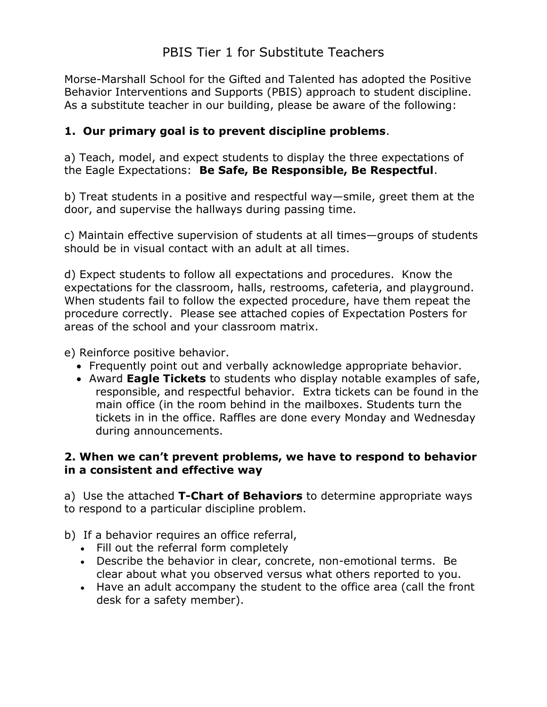Morse-Marshall School for the Gifted and Talented has adopted the Positive Behavior Interventions and Supports (PBIS) approach to student discipline. As a substitute teacher in our building, please be aware of the following:

# **1. Our primary goal is to prevent discipline problems**.

a) Teach, model, and expect students to display the three expectations of the Eagle Expectations: **Be Safe, Be Responsible, Be Respectful**.

b) Treat students in a positive and respectful way—smile, greet them at the door, and supervise the hallways during passing time.

c) Maintain effective supervision of students at all times—groups of students should be in visual contact with an adult at all times.

d) Expect students to follow all expectations and procedures. Know the expectations for the classroom, halls, restrooms, cafeteria, and playground. When students fail to follow the expected procedure, have them repeat the procedure correctly. Please see attached copies of Expectation Posters for areas of the school and your classroom matrix.

e) Reinforce positive behavior.

- Frequently point out and verbally acknowledge appropriate behavior.
- Award **Eagle Tickets** to students who display notable examples of safe, responsible, and respectful behavior. Extra tickets can be found in the main office (in the room behind in the mailboxes. Students turn the tickets in in the office. Raffles are done every Monday and Wednesday during announcements.

## **2. When we can't prevent problems, we have to respond to behavior in a consistent and effective way**

a) Use the attached **T-Chart of Behaviors** to determine appropriate ways to respond to a particular discipline problem.

#### b) If a behavior requires an office referral,

- Fill out the referral form completely
- Describe the behavior in clear, concrete, non-emotional terms. Be clear about what you observed versus what others reported to you.
- Have an adult accompany the student to the office area (call the front desk for a safety member).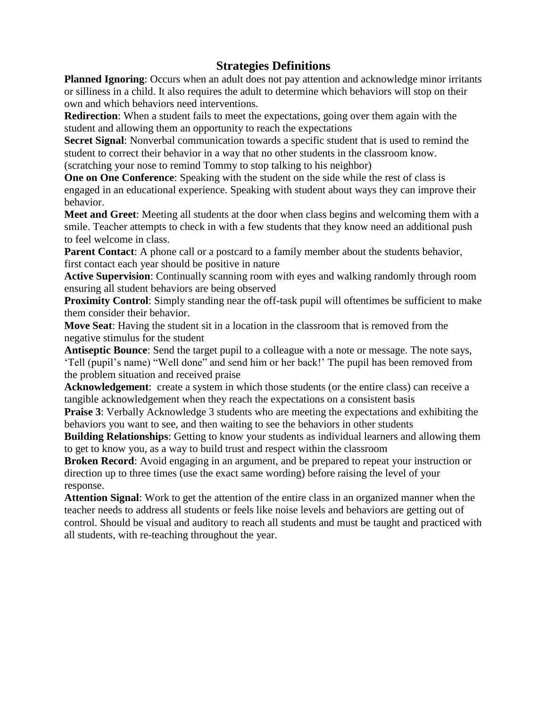## **Strategies Definitions**

**Planned Ignoring**: Occurs when an adult does not pay attention and acknowledge minor irritants or silliness in a child. It also requires the adult to determine which behaviors will stop on their own and which behaviors need interventions.

**Redirection**: When a student fails to meet the expectations, going over them again with the student and allowing them an opportunity to reach the expectations

**Secret Signal**: Nonverbal communication towards a specific student that is used to remind the student to correct their behavior in a way that no other students in the classroom know. (scratching your nose to remind Tommy to stop talking to his neighbor)

**One on One Conference**: Speaking with the student on the side while the rest of class is engaged in an educational experience. Speaking with student about ways they can improve their behavior.

**Meet and Greet**: Meeting all students at the door when class begins and welcoming them with a smile. Teacher attempts to check in with a few students that they know need an additional push to feel welcome in class.

**Parent Contact:** A phone call or a postcard to a family member about the students behavior, first contact each year should be positive in nature

**Active Supervision**: Continually scanning room with eyes and walking randomly through room ensuring all student behaviors are being observed

**Proximity Control:** Simply standing near the off-task pupil will oftentimes be sufficient to make them consider their behavior.

**Move Seat**: Having the student sit in a location in the classroom that is removed from the negative stimulus for the student

**Antiseptic Bounce**: Send the target pupil to a colleague with a note or message. The note says, "Tell (pupil"s name) "Well done" and send him or her back!" The pupil has been removed from the problem situation and received praise

**Acknowledgement**: create a system in which those students (or the entire class) can receive a tangible acknowledgement when they reach the expectations on a consistent basis

**Praise 3**: Verbally Acknowledge 3 students who are meeting the expectations and exhibiting the behaviors you want to see, and then waiting to see the behaviors in other students

**Building Relationships**: Getting to know your students as individual learners and allowing them to get to know you, as a way to build trust and respect within the classroom

**Broken Record**: Avoid engaging in an argument, and be prepared to repeat your instruction or direction up to three times (use the exact same wording) before raising the level of your response.

**Attention Signal**: Work to get the attention of the entire class in an organized manner when the teacher needs to address all students or feels like noise levels and behaviors are getting out of control. Should be visual and auditory to reach all students and must be taught and practiced with all students, with re-teaching throughout the year.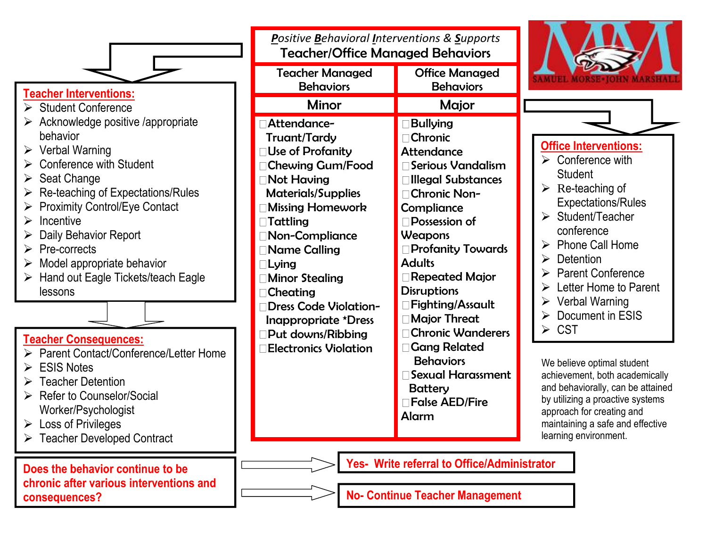